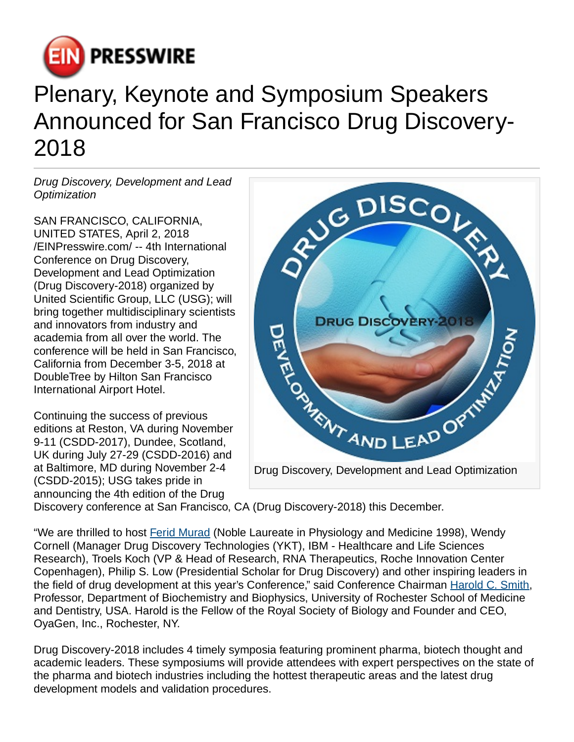

## Plenary, Keynote and Symposium Speakers Announced for San Francisco Drug Discovery-2018

Drug Discovery, Development and Lead **Optimization** 

SAN FRANCISCO, CALIFORNIA, UNITED STATES, April 2, 2018 [/EINPresswire.com](http://www.einpresswire.com)/ -- 4th International Conference on Drug Discovery, Development and Lead Optimization (Drug Discovery-2018) organized by United Scientific Group, LLC (USG); will bring together multidisciplinary scientists and innovators from industry and academia from all over the world. The conference will be held in San Francisco, California from December 3-5, 2018 at DoubleTree by Hilton San Francisco International Airport Hotel.

Continuing the success of previous editions at Reston, VA during November 9-11 (CSDD-2017), Dundee, Scotland, UK during July 27-29 (CSDD-2016) and at Baltimore, MD during November 2-4 (CSDD-2015); USG takes pride in announcing the 4th edition of the Drug



Discovery conference at San Francisco, CA (Drug Discovery-2018) this December.

"We are thrilled to host [Ferid Murad](https://en.wikipedia.org/wiki/Ferid_Murad) (Noble Laureate in Physiology and Medicine 1998), Wendy Cornell (Manager Drug Discovery Technologies (YKT), IBM - Healthcare and Life Sciences Research), Troels Koch (VP & Head of Research, RNA Therapeutics, Roche Innovation Center Copenhagen), Philip S. Low (Presidential Scholar for Drug Discovery) and other inspiring leaders in the field of drug development at this year's Conference," said Conference Chairman [Harold C. Smith,](https://en.wikipedia.org/wiki/Harold_Smith_(scientist)) Professor, Department of Biochemistry and Biophysics, University of Rochester School of Medicine and Dentistry, USA. Harold is the Fellow of the Royal Society of Biology and Founder and CEO, OyaGen, Inc., Rochester, NY.

Drug Discovery-2018 includes 4 timely symposia featuring prominent pharma, biotech thought and academic leaders. These symposiums will provide attendees with expert perspectives on the state of the pharma and biotech industries including the hottest therapeutic areas and the latest drug development models and validation procedures.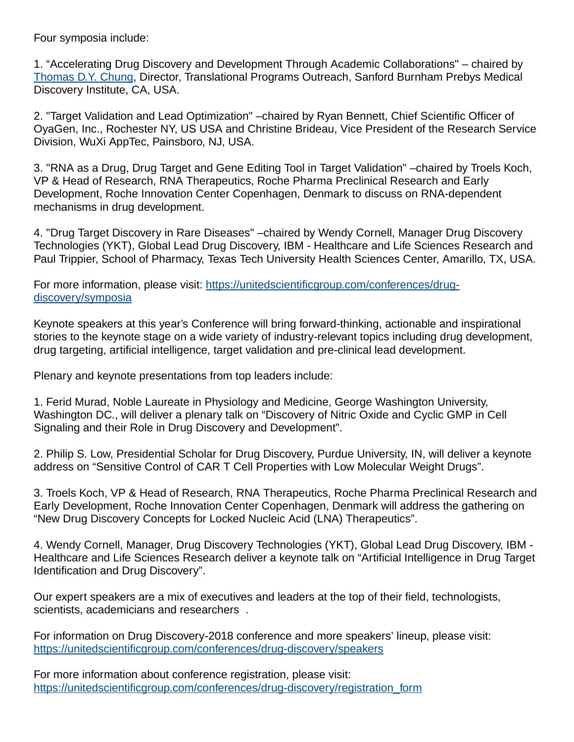Four symposia include:

1. "Accelerating Drug Discovery and Development Through Academic Collaborations" – chaired by [Thomas D.Y. Chung](https://www.sbpdiscovery.org/team/thomas-tc-chung-phd), Director, Translational Programs Outreach, Sanford Burnham Prebys Medical Discovery Institute, CA, USA.

2. "Target Validation and Lead Optimization" –chaired by Ryan Bennett, Chief Scientific Officer of OyaGen, Inc., Rochester NY, US USA and Christine Brideau, Vice President of the Research Service Division, WuXi AppTec, Painsboro, NJ, USA.

3. "RNA as a Drug, Drug Target and Gene Editing Tool in Target Validation" –chaired by Troels Koch, VP & Head of Research, RNA Therapeutics, Roche Pharma Preclinical Research and Early Development, Roche Innovation Center Copenhagen, Denmark to discuss on RNA-dependent mechanisms in drug development.

4. "Drug Target Discovery in Rare Diseases" –chaired by Wendy Cornell, Manager Drug Discovery Technologies (YKT), Global Lead Drug Discovery, IBM - Healthcare and Life Sciences Research and Paul Trippier, School of Pharmacy, Texas Tech University Health Sciences Center, Amarillo, TX, USA.

For more information, please visit: [https://unitedscientificgroup.com/conferences/drug](https://unitedscientificgroup.com/conferences/drug-discovery/symposia)[discovery/symposia](https://unitedscientificgroup.com/conferences/drug-discovery/symposia) 

Keynote speakers at this year's Conference will bring forward-thinking, actionable and inspirational stories to the keynote stage on a wide variety of industry-relevant topics including drug development, drug targeting, artificial intelligence, target validation and pre-clinical lead development.

Plenary and keynote presentations from top leaders include:

1. Ferid Murad, Noble Laureate in Physiology and Medicine, George Washington University, Washington DC., will deliver a plenary talk on "Discovery of Nitric Oxide and Cyclic GMP in Cell Signaling and their Role in Drug Discovery and Development".

2. Philip S. Low, Presidential Scholar for Drug Discovery, Purdue University, IN, will deliver a keynote address on "Sensitive Control of CAR T Cell Properties with Low Molecular Weight Drugs".

3. Troels Koch, VP & Head of Research, RNA Therapeutics, Roche Pharma Preclinical Research and Early Development, Roche Innovation Center Copenhagen, Denmark will address the gathering on "New Drug Discovery Concepts for Locked Nucleic Acid (LNA) Therapeutics".

4. Wendy Cornell, Manager, Drug Discovery Technologies (YKT), Global Lead Drug Discovery, IBM - Healthcare and Life Sciences Research deliver a keynote talk on "Artificial Intelligence in Drug Target Identification and Drug Discovery".

Our expert speakers are a mix of executives and leaders at the top of their field, technologists, scientists, academicians and researchers .

For information on Drug Discovery-2018 conference and more speakers' lineup, please visit: <https://unitedscientificgroup.com/conferences/drug-discovery/speakers>

For more information about conference registration, please visit: [https://unitedscientificgroup.com/conferences/drug-discovery/registration\\_form](https://unitedscientificgroup.com/conferences/drug-discovery/registration_form)